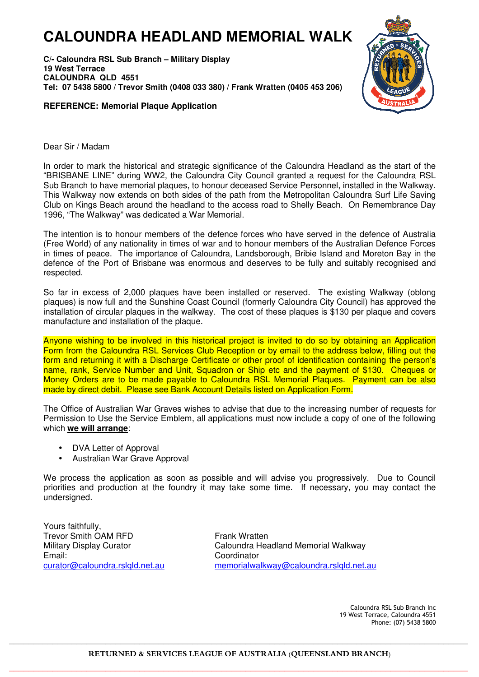## **CALOUNDRA HEADLAND MEMORIAL WALK**

**C/- Caloundra RSL Sub Branch – Military Display 19 West Terrace CALOUNDRA QLD 4551 Tel: 07 5438 5800 / Trevor Smith (0408 033 380) / Frank Wratten (0405 453 206)** 





Dear Sir / Madam

In order to mark the historical and strategic significance of the Caloundra Headland as the start of the "BRISBANE LINE" during WW2, the Caloundra City Council granted a request for the Caloundra RSL Sub Branch to have memorial plaques, to honour deceased Service Personnel, installed in the Walkway. This Walkway now extends on both sides of the path from the Metropolitan Caloundra Surf Life Saving Club on Kings Beach around the headland to the access road to Shelly Beach. On Remembrance Day 1996, "The Walkway" was dedicated a War Memorial.

The intention is to honour members of the defence forces who have served in the defence of Australia (Free World) of any nationality in times of war and to honour members of the Australian Defence Forces in times of peace. The importance of Caloundra, Landsborough, Bribie Island and Moreton Bay in the defence of the Port of Brisbane was enormous and deserves to be fully and suitably recognised and respected.

So far in excess of 2,000 plaques have been installed or reserved. The existing Walkway (oblong plaques) is now full and the Sunshine Coast Council (formerly Caloundra City Council) has approved the installation of circular plaques in the walkway. The cost of these plaques is \$130 per plaque and covers manufacture and installation of the plaque.

Anyone wishing to be involved in this historical project is invited to do so by obtaining an Application Form from the Caloundra RSL Services Club Reception or by email to the address below, filling out the form and returning it with a Discharge Certificate or other proof of identification containing the person's name, rank, Service Number and Unit, Squadron or Ship etc and the payment of \$130. Cheques or Money Orders are to be made payable to Caloundra RSL Memorial Plaques. Payment can be also made by direct debit. Please see Bank Account Details listed on Application Form.

The Office of Australian War Graves wishes to advise that due to the increasing number of requests for Permission to Use the Service Emblem, all applications must now include a copy of one of the following which **we will arrange**:

- DVA Letter of Approval
- Australian War Grave Approval

We process the application as soon as possible and will advise you progressively. Due to Council priorities and production at the foundry it may take some time. If necessary, you may contact the undersigned.

Yours faithfully, Trevor Smith OAM RFD Military Display Curator Email: curator@caloundra.rslqld.net.au

Frank Wratten Caloundra Headland Memorial Walkway Coordinator memorialwalkway@caloundra.rslqld.net.au

> Caloundra RSL Sub Branch Inc 19 West Terrace, Caloundra 4551 Phone: (07) 5438 5800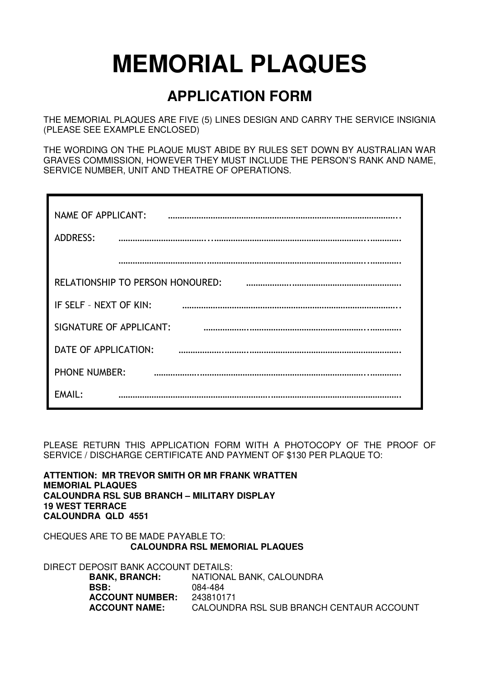## **MEMORIAL PLAQUES**

## **APPLICATION FORM**

THE MEMORIAL PLAQUES ARE FIVE (5) LINES DESIGN AND CARRY THE SERVICE INSIGNIA (PLEASE SEE EXAMPLE ENCLOSED)

THE WORDING ON THE PLAQUE MUST ABIDE BY RULES SET DOWN BY AUSTRALIAN WAR GRAVES COMMISSION, HOWEVER THEY MUST INCLUDE THE PERSON'S RANK AND NAME, SERVICE NUMBER, UNIT AND THEATRE OF OPERATIONS.

| NAME OF APPLICANT:                      |
|-----------------------------------------|
| <b>ADDRESS:</b>                         |
|                                         |
| <b>RELATIONSHIP TO PERSON HONOURED:</b> |
| IF SELF - NEXT OF KIN:                  |
| SIGNATURE OF APPLICANT:                 |
| DATE OF APPLICATION:                    |
| <b>PHONE NUMBER:</b>                    |
| EMAIL:                                  |

PLEASE RETURN THIS APPLICATION FORM WITH A PHOTOCOPY OF THE PROOF OF SERVICE / DISCHARGE CERTIFICATE AND PAYMENT OF \$130 PER PLAQUE TO:

**ATTENTION: MR TREVOR SMITH OR MR FRANK WRATTEN MEMORIAL PLAQUES CALOUNDRA RSL SUB BRANCH – MILITARY DISPLAY 19 WEST TERRACE CALOUNDRA QLD 4551** 

CHEQUES ARE TO BE MADE PAYABLE TO: **CALOUNDRA RSL MEMORIAL PLAQUES** 

DIRECT DEPOSIT BANK ACCOUNT DETAILS: **BANK, BRANCH:** NATIONAL BANK, CALOUNDRA **BSB:** 084-484 **ACCOUNT NUMBER:** 243810171 **ACCOUNT NAME:** CALOUNDRA RSL SUB BRANCH CENTAUR ACCOUNT